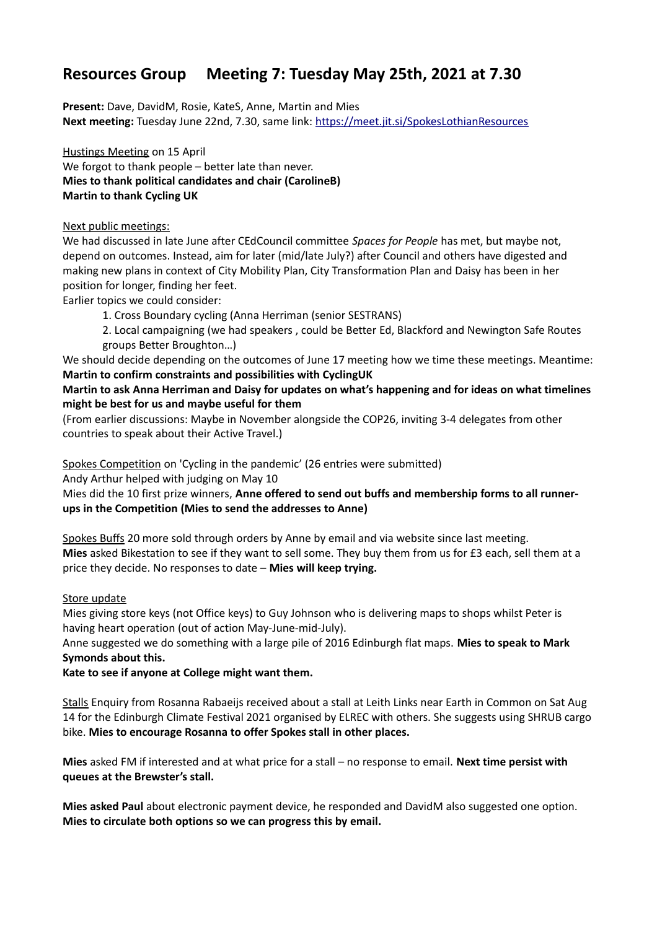# **Resources Group Meeting 7: Tuesday May 25th, 2021 at 7.30**

**Present:** Dave, DavidM, Rosie, KateS, Anne, Martin and Mies **Next meeting:** Tuesday June 22nd, 7.30, same link:<https://meet.jit.si/SpokesLothianResources>

Hustings Meeting on 15 April We forgot to thank people – better late than never. **Mies to thank political candidates and chair (CarolineB) Martin to thank Cycling UK**

#### Next public meetings:

We had discussed in late June after CEdCouncil committee *Spaces for People* has met, but maybe not, depend on outcomes. Instead, aim for later (mid/late July?) after Council and others have digested and making new plans in context of City Mobility Plan, City Transformation Plan and Daisy has been in her position for longer, finding her feet.

Earlier topics we could consider:

1. Cross Boundary cycling (Anna Herriman (senior SESTRANS)

2. Local campaigning (we had speakers , could be Better Ed, Blackford and Newington Safe Routes groups Better Broughton…)

We should decide depending on the outcomes of June 17 meeting how we time these meetings. Meantime: **Martin to confirm constraints and possibilities with CyclingUK**

**Martin to ask Anna Herriman and Daisy for updates on what's happening and for ideas on what timelines might be best for us and maybe useful for them**

(From earlier discussions: Maybe in November alongside the COP26, inviting 3-4 delegates from other countries to speak about their Active Travel.)

Spokes Competition on 'Cycling in the pandemic' (26 entries were submitted)

Andy Arthur helped with judging on May 10

Mies did the 10 first prize winners, **Anne offered to send out buffs and membership forms to all runnerups in the Competition (Mies to send the addresses to Anne)**

Spokes Buffs 20 more sold through orders by Anne by email and via website since last meeting. **Mies** asked Bikestation to see if they want to sell some. They buy them from us for £3 each, sell them at a price they decide. No responses to date – **Mies will keep trying.**

#### Store update

Mies giving store keys (not Office keys) to Guy Johnson who is delivering maps to shops whilst Peter is having heart operation (out of action May-June-mid-July).

Anne suggested we do something with a large pile of 2016 Edinburgh flat maps. **Mies to speak to Mark Symonds about this.**

**Kate to see if anyone at College might want them.**

Stalls Enquiry from Rosanna Rabaeijs received about a stall at Leith Links near Earth in Common on Sat Aug 14 for the Edinburgh Climate Festival 2021 organised by ELREC with others. She suggests using SHRUB cargo bike. **Mies to encourage Rosanna to offer Spokes stall in other places.**

**Mies** asked FM if interested and at what price for a stall – no response to email. **Next time persist with queues at the Brewster's stall.**

**Mies asked Paul** about electronic payment device, he responded and DavidM also suggested one option. **Mies to circulate both options so we can progress this by email.**